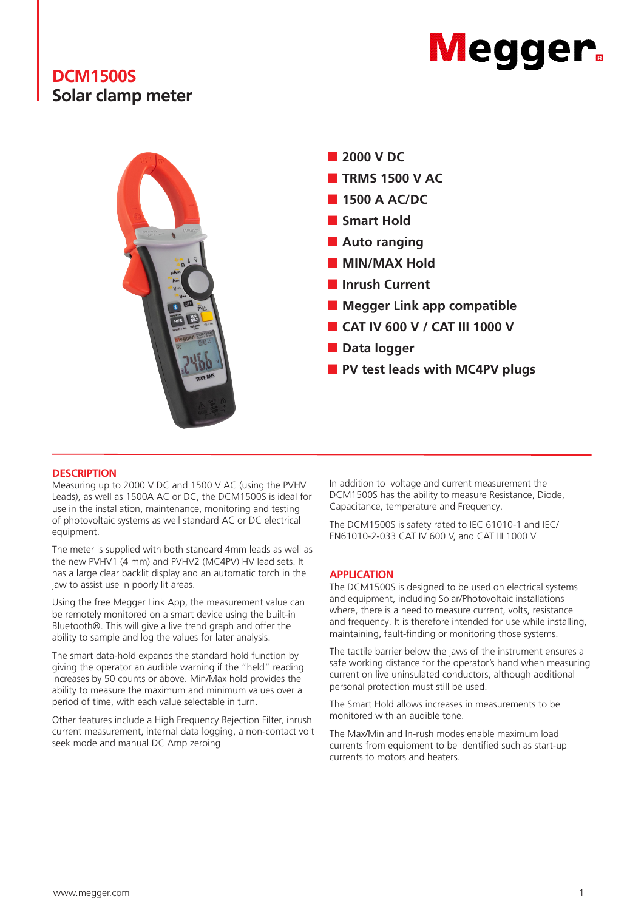# **Megger**

# **DCM1500S Solar clamp meter**



# **DESCRIPTION**

Measuring up to 2000 V DC and 1500 V AC (using the PVHV Leads), as well as 1500A AC or DC, the DCM1500S is ideal for use in the installation, maintenance, monitoring and testing of photovoltaic systems as well standard AC or DC electrical equipment.

The meter is supplied with both standard 4mm leads as well as the new PVHV1 (4 mm) and PVHV2 (MC4PV) HV lead sets. It has a large clear backlit display and an automatic torch in the jaw to assist use in poorly lit areas.

Using the free Megger Link App, the measurement value can be remotely monitored on a smart device using the built-in Bluetooth®. This will give a live trend graph and offer the ability to sample and log the values for later analysis.

The smart data-hold expands the standard hold function by giving the operator an audible warning if the "held" reading increases by 50 counts or above. Min/Max hold provides the ability to measure the maximum and minimum values over a period of time, with each value selectable in turn.

Other features include a High Frequency Rejection Filter, inrush current measurement, internal data logging, a non-contact volt seek mode and manual DC Amp zeroing

In addition to voltage and current measurement the DCM1500S has the ability to measure Resistance, Diode, Capacitance, temperature and Frequency.

The DCM1500S is safety rated to IEC 61010-1 and IEC/ EN61010-2-033 CAT IV 600 V, and CAT III 1000 V

# **APPLICATION**

The DCM1500S is designed to be used on electrical systems and equipment, including Solar/Photovoltaic installations where, there is a need to measure current, volts, resistance and frequency. It is therefore intended for use while installing. maintaining, fault-finding or monitoring those systems.

The tactile barrier below the jaws of the instrument ensures a safe working distance for the operator's hand when measuring current on live uninsulated conductors, although additional personal protection must still be used.

The Smart Hold allows increases in measurements to be monitored with an audible tone.

The Max/Min and In-rush modes enable maximum load currents from equipment to be identified such as start-up currents to motors and heaters.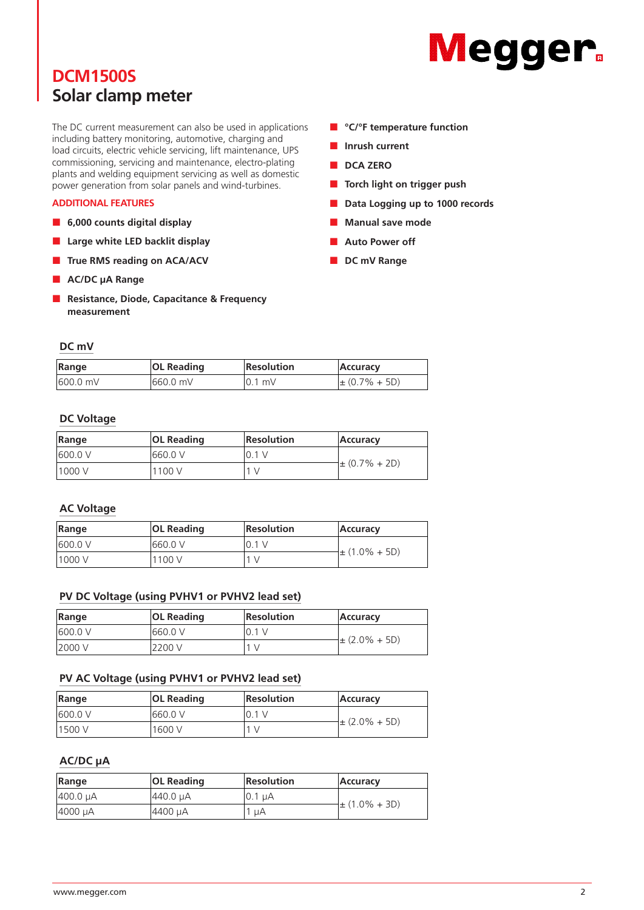# **DCM1500S Solar clamp meter**

The DC current measurement can also be used in applications including battery monitoring, automotive, charging and load circuits, electric vehicle servicing, lift maintenance, UPS commissioning, servicing and maintenance, electro-plating plants and welding equipment servicing as well as domestic power generation from solar panels and wind-turbines.

### **ADDITIONAL FEATURES**

- **6,000 counts digital display**
- **Large white LED backlit display**
- **True RMS reading on ACA/ACV**
- **AC/DC** µA Range
- **Resistance, Diode, Capacitance & Frequency measurement**

### **DC mV**

| Range     | <b>OL Reading</b> | <b>Resolution</b> | Accuracy           |
|-----------|-------------------|-------------------|--------------------|
| 1600.0 mV | 1660.0 mV         | $10.1$ mV         | $\pm (0.7\% + 5D)$ |

# **DC Voltage**

| Range    | <b>OL Reading</b> | <b>Resolution</b> | <b>Accuracy</b>    |
|----------|-------------------|-------------------|--------------------|
| 1600.0 V | 1660.0 V          | 10.1 V            |                    |
| 11000 V  | 1100 V            | 1 <sub>V</sub>    | $\pm (0.7\% + 2D)$ |

# **AC Voltage**

| Range    | <b>OL Reading</b> | <b>Resolution</b> | Accuracy           |
|----------|-------------------|-------------------|--------------------|
| 1600.0 V | 1660.0 V          | 10.1 V            |                    |
| 1000 V   | 1100 V            | 1 V               | $\pm (1.0\% + 5D)$ |

# **PV DC Voltage (using PVHV1 or PVHV2 lead set)**

| Range   | <b>OL Reading</b> | <b>Resolution</b> | <b>Accuracy</b>   |
|---------|-------------------|-------------------|-------------------|
| 600.0 V | 660.0 V           | 10.1 V            |                   |
| 2000 V  | 2200 V            |                   | $\pm$ (2.0% + 5D) |

# **PV AC Voltage (using PVHV1 or PVHV2 lead set)**

| Range   | <b>OL Reading</b> | <b>Resolution</b> | Accuracy          |
|---------|-------------------|-------------------|-------------------|
| 600.0 V | 660.0 V           | 10.1 V            |                   |
| 11500 V | 1600 V            |                   | $\pm$ (2.0% + 5D) |

# **AC/DC µA**

| Range    | <b>OL Reading</b> | <b>Resolution</b> | Accuracy           |
|----------|-------------------|-------------------|--------------------|
| 400.0 µA | 1440.0 uA         | $10.1 \mu A$      |                    |
| 4000 µA  | 4400 µA           | '1 uA             | $\pm (1.0\% + 3D)$ |

- **Megger**
- **°C/°F temperature function**
- **Inrush current**
- **DCA ZERO**
- **Torch light on trigger push**
- **Data Logging up to 1000 records**
- **Manual save mode**
- **Auto Power off**
- **DC mV Range**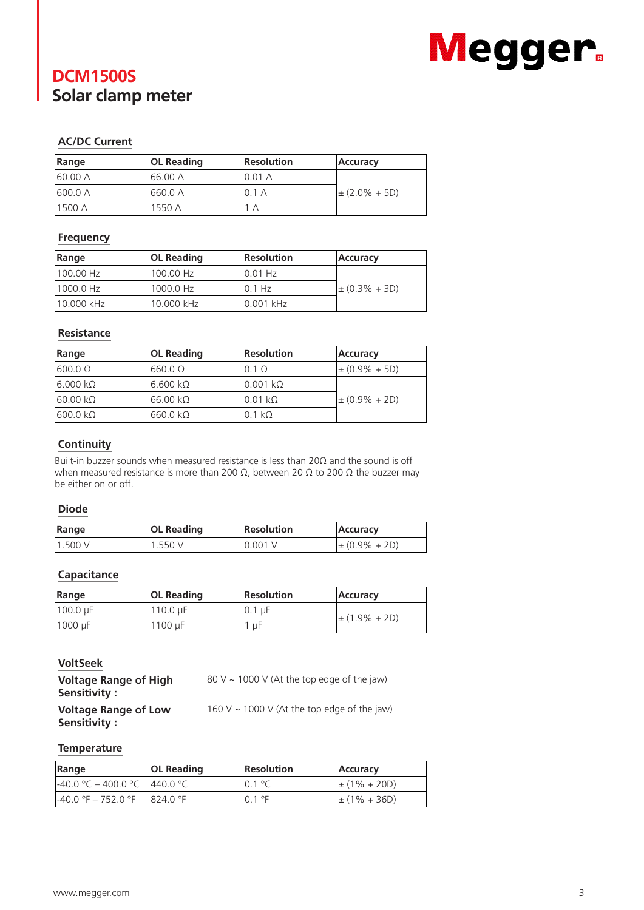# **DCM1500S Solar clamp meter**



# **AC/DC Current**

| Range    | <b>OL Reading</b> | <b>Resolution</b> | <b>Accuracy</b>    |
|----------|-------------------|-------------------|--------------------|
| 160.00 A | 166.00 A          | 10.01 A           |                    |
| 600.0 A  | 1660.0 A          | 10.1 A            | $\pm (2.0\% + 5D)$ |
| 11500 A  | 1550 A            | A                 |                    |

# **Frequency**

| Range      | <b>OL Reading</b> | <b>Resolution</b> | Accuracy           |
|------------|-------------------|-------------------|--------------------|
| 100.00 Hz  | 100.00 Hz         | $10.01$ Hz        |                    |
| 1000.0 Hz  | 1000.0 Hz         | 10.1 Hz           | $\pm (0.3\% + 3D)$ |
| 10.000 kHz | 10.000 kHz        | 0.001 kHz         |                    |

# **Resistance**

| Range           | <b>OL Reading</b> | <b>Resolution</b> | Accuracy           |
|-----------------|-------------------|-------------------|--------------------|
| $1600.0 \Omega$ | $660.0 \Omega$    | $0.1 \Omega$      | $\pm (0.9\% + 5D)$ |
| $6.000 k\Omega$ | $6.600 k\Omega$   | l0.001 kΩ         |                    |
| $60.00 k\Omega$ | 166.00 kΩ         | l0.01 kΩ          | $\pm (0.9\% + 2D)$ |
| $600.0 k\Omega$ | l660.0 kΩ         | $0.1 k\Omega$     |                    |

# **Continuity**

Built-in buzzer sounds when measured resistance is less than 20Ω and the sound is off when measured resistance is more than 200 Ω, between 20 Ω to 200 Ω the buzzer may be either on or off.

# **Diode**

| Range  | <b>OL Reading</b> | Resolution | <b>Accuracy</b>    |
|--------|-------------------|------------|--------------------|
| 1.500V | 1.550V            | 0.001V     | $\pm (0.9\% + 2D)$ |

# **Capacitance**

| Range               | <b>OL Reading</b> | Resolution | <b>Accuracy</b>    |
|---------------------|-------------------|------------|--------------------|
| $ 100.0 \text{ µF}$ | $110.0 \mu F$     | 10.1 µF    | $\pm (1.9\% + 2D)$ |
| 1000 µF             | 1100 uF           | цF         |                    |

# **VoltSeek**

| <b>Voltage Range of High</b><br>Sensitivity : | 80 V ~ 1000 V (At the top edge of the jaw)                   |
|-----------------------------------------------|--------------------------------------------------------------|
| Voltage Dange of Low                          | $160 \text{ V}$ $1000 \text{ V}$ (At the tep adge of the inv |

**Voltage Range of Low Sensitivity :** 

160 V  $\sim$  1000 V (At the top edge of the jaw)

# **Temperature**

| Range                          | <b>OL Reading</b> | <b>Resolution</b> | Accuracy          |
|--------------------------------|-------------------|-------------------|-------------------|
| 1-40.0 °C – 400.0 °C 1440.0 °C |                   | $10.1 \text{ °C}$ | $\pm (1\% + 20D)$ |
| l-40.0 °F – 752.0 °F           | 1824.0 °F         | $10.1$ °F         | $\pm (1\% + 36D)$ |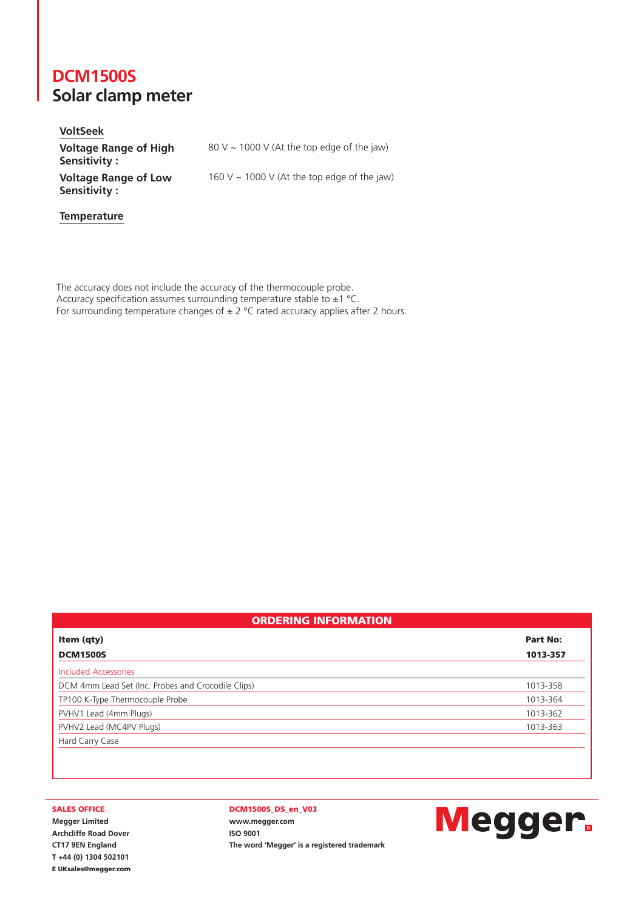# **DCM1500S Solar clamp meter**

**Temperature**

**VoltSeek Voltage Range of High Sensitivity :**  80 V  $\sim$  1000 V (At the top edge of the jaw) **Voltage Range of Low Sensitivity :**  160 V  $\sim$  1000 V (At the top edge of the jaw)

The accuracy does not include the accuracy of the thermocouple probe. Accuracy specification assumes surrounding temperature stable to  $\pm 1$  °C. For surrounding temperature changes of  $\pm 2$  °C rated accuracy applies after 2 hours.

|  |  |  |  |  |  |  | <b>ORDERING INFORMATION</b> |  |  |  |  |  |  |  |  |  |  |  |  |  |  |
|--|--|--|--|--|--|--|-----------------------------|--|--|--|--|--|--|--|--|--|--|--|--|--|--|
|--|--|--|--|--|--|--|-----------------------------|--|--|--|--|--|--|--|--|--|--|--|--|--|--|

| Item (qty)                                         | Part No:<br>1013-357 |  |  |  |  |
|----------------------------------------------------|----------------------|--|--|--|--|
| <b>DCM1500S</b>                                    |                      |  |  |  |  |
| Included Accessories                               |                      |  |  |  |  |
| DCM 4mm Lead Set (Inc. Probes and Crocodile Clips) | 1013-358             |  |  |  |  |
| TP100 K-Type Thermocouple Probe                    | 1013-364             |  |  |  |  |
| PVHV1 Lead (4mm Plugs)                             | 1013-362             |  |  |  |  |
| PVHV2 Lead (MC4PV Plugs)                           | 1013-363             |  |  |  |  |
| Hard Carry Case                                    |                      |  |  |  |  |

#### SALES OFFICE

**Megger Limited Archcliffe Road Dover CT17 9EN England T +44 (0) 1304 502101** E UKsales@megger.com

#### DCM1500S\_DS\_en\_V03

**www.megger.com ISO 9001 The word 'Megger' is a registered trademark**